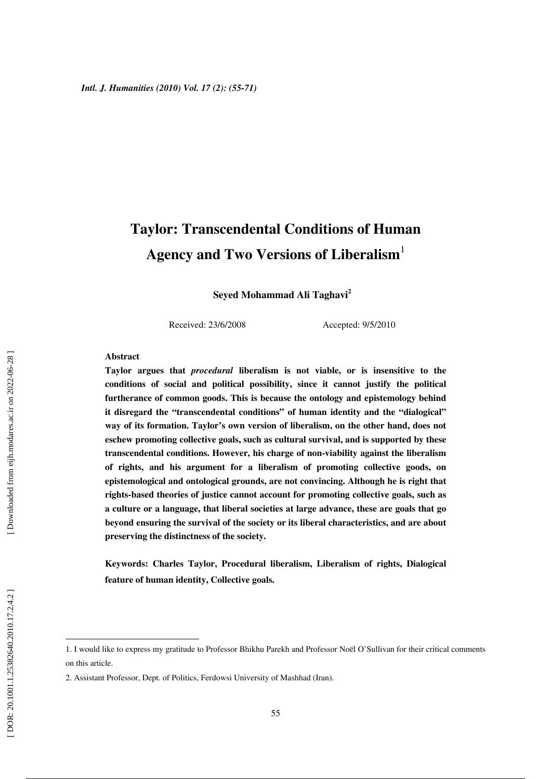# **Taylor: Transcendental Conditions of Human Agency and Two Versions of Liberalism** 1

**Seyed Mohammad Ali Taghavi 2**

Received: 23/6/2008 Accepted: 9/5/2010

#### **Abstract**

**Taylor argues that** *procedural* **liberalism is not viable, or is insensitive to the conditions of social and political possibility, since it cannot justify the political furtherance of common goods. This is because the ontology and epistemology behind it disregard the "transcendental conditions" of human identity and the "dialogical" way of its formation. Taylor's own version of liberalism, on the other hand, does not eschew promoting collective goals, such as cultural survival, and is supported by these transcendental conditions. However, his charge of non-viability against the liberalism of rights, and his argument for a liberalism of promoting collective goods, on epistemological and ontological grounds, are not convincing. Although he is right that rights-based theories of justice cannot account for promoting collective goals, such as a culture or a language, that liberal societies at large advance, these are goals that go beyond ensuring the survival of the society or its liberal characteristics, and are about preserving the distinctness of the society.** 

**Keywords: Charles Taylor, Procedural liberalism, Liberalism of rights, Dialogical feature of human identity, Collective goals.** 

<sup>1.</sup> I would like to express my gratitude to Professor Bhikhu Parekh and Professor Noël O'Sullivan for their critical comments on this article.

<sup>2.</sup> Assistant Professor, Dept. of Politics, Ferdowsi University of Mashhad (Iran).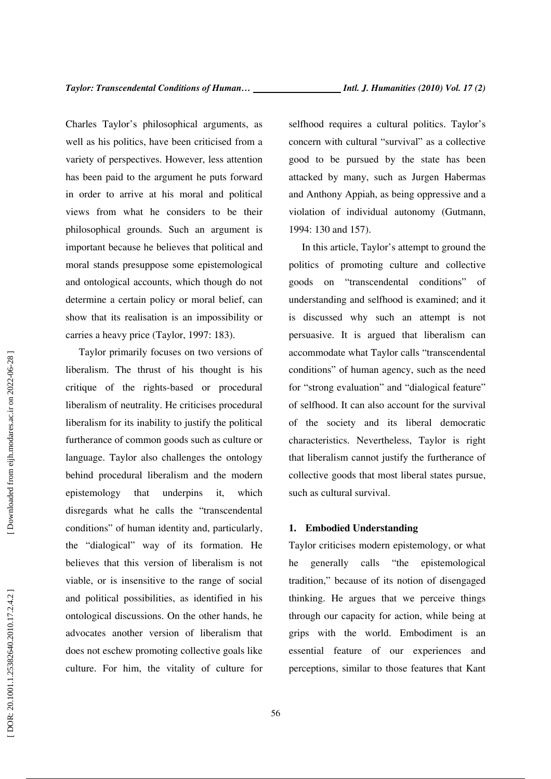Charles Taylor's philosophical arguments, as well as his politics, have been criticised from a variety of perspectives. However, less attention has been paid to the argument he puts forward in order to arrive at his moral and political views from what he considers to be their philosophical grounds. Such an argument is important because he believes that political and moral stands presuppose some epistemological and ontological accounts, which though do not determine a certain policy or moral belief, can show that its realisation is an impossibility or carries a heavy price (Taylor, 1997: 183).

Taylor primarily focuses on two versions of liberalism. The thrust of his thought is his critique of the rights-based or procedural liberalism of neutrality. He criticises procedural liberalism for its inability to justify the political furtherance of common goods such as culture or language. Taylor also challenges the ontology behind procedural liberalism and the modern epistemology that underpins it, which disregards what he calls the "transcendental conditions" of human identity and, particularly, the "dialogical" way of its formation. He believes that this version of liberalism is not viable, or is insensitive to the range of social and political possibilities, as identified in his ontological discussions. On the other hands, he advocates another version of liberalism that does not eschew promoting collective goals like culture. For him, the vitality of culture for

selfhood requires a cultural politics. Taylor's concern with cultural "survival" as a collective good to be pursued by the state has been attacked by many, such as Jurgen Habermas and Anthony Appiah, as being oppressive and a violation of individual autonomy (Gutmann, 1994: 130 and 157).

In this article, Taylor's attempt to ground the politics of promoting culture and collective goods on "transcendental conditions" of understanding and selfhood is examined; and it is discussed why such an attempt is not persuasive. It is argued that liberalism can accommodate what Taylor calls "transcendental conditions" of human agency, such as the need for "strong evaluation" and "dialogical feature" of selfhood. It can also account for the survival of the society and its liberal democratic characteristics. Nevertheless, Taylor is right that liberalism cannot justify the furtherance of collective goods that most liberal states pursue, such as cultural survival.

### **1. Embodied Understanding**

Taylor criticises modern epistemology, or what he generally calls "the epistemological tradition," because of its notion of disengaged thinking. He argues that we perceive things through our capacity for action, while being at grips with the world. Embodiment is an essential feature of our experiences and perceptions, similar to those features that Kant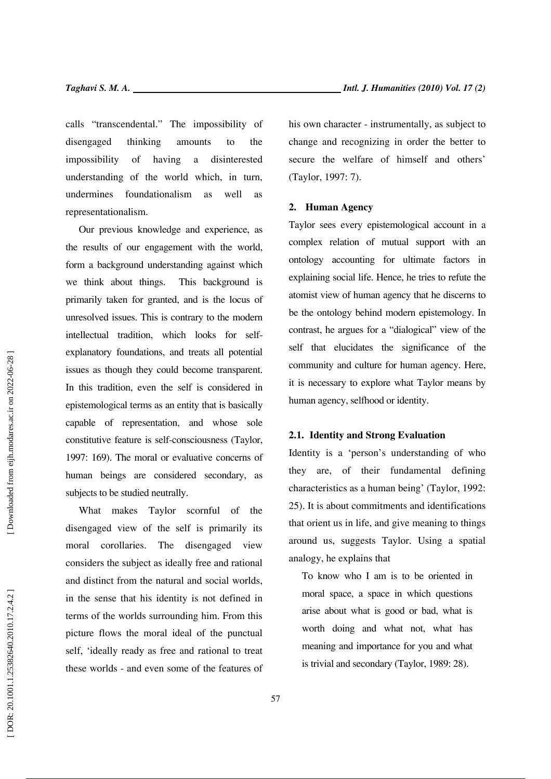calls "transcendental." The impossibility of disengaged thinking amounts to the impossibility of having a disinterested understanding of the world which, in turn, undermines foundationalism as well as representationalism.

Our previous knowledge and experience, as the results of our engagement with the world, form a background understanding against which we think about things. This background is primarily taken for granted, and is the locus of unresolved issues. This is contrary to the modern intellectual tradition, which looks for selfexplanatory foundations, and treats all potential issues as though they could become transparent. In this tradition, even the self is considered in epistemological terms as an entity that is basically capable of representation, and whose sole constitutive feature is self-consciousness (Taylor, 1997: 169). The moral or evaluative concerns of human beings are considered secondary, as subjects to be studied neutrally.

What makes Taylor scornful of the disengaged view of the self is primarily its moral corollaries. The disengaged view considers the subject as ideally free and rational and distinct from the natural and social worlds, in the sense that his identity is not defined in terms of the worlds surrounding him. From this picture flows the moral ideal of the punctual self, 'ideally ready as free and rational to treat these worlds - and even some of the features of his own character - instrumentally, as subject to change and recognizing in order the better to secure the welfare of himself and others' (Taylor, 1997: 7).

### **2. Human Agency**

Taylor sees every epistemological account in a complex relation of mutual support with an ontology accounting for ultimate factors in explaining social life. Hence, he tries to refute the atomist view of human agency that he discerns to be the ontology behind modern epistemology. In contrast, he argues for a "dialogical" view of the self that elucidates the significance of the community and culture for human agency. Here, it is necessary to explore what Taylor means by human agency, selfhood or identity.

### **2.1. Identity and Strong Evaluation**

Identity is a 'person's understanding of who they are, of their fundamental defining characteristics as a human being' (Taylor, 1992: 25). It is about commitments and identifications that orient us in life, and give meaning to things around us, suggests Taylor. Using a spatial analogy, he explains that

To know who I am is to be oriented in moral space, a space in which questions arise about what is good or bad, what is worth doing and what not, what has meaning and importance for you and what is trivial and secondary (Taylor, 1989: 28).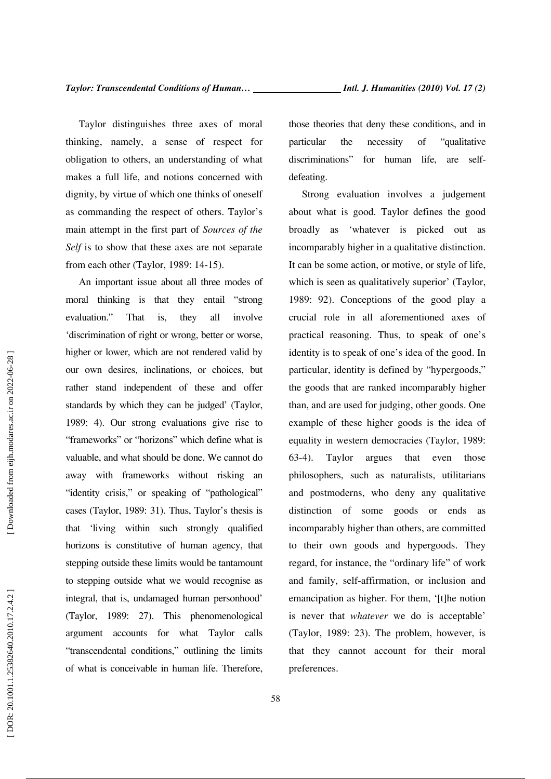Taylor distinguishes three axes of moral thinking, namely, a sense of respect for obligation to others, an understanding of what makes a full life, and notions concerned with dignity, by virtue of which one thinks of oneself as commanding the respect of others. Taylor's main attempt in the first part of *Sources of the Self* is to show that these axes are not separate from each other (Taylor, 1989: 14-15).

An important issue about all three modes of moral thinking is that they entail "strong evaluation." That is, they all involve 'discrimination of right or wrong, better or worse, higher or lower, which are not rendered valid by our own desires, inclinations, or choices, but rather stand independent of these and offer standards by which they can be judged' (Taylor, 1989: 4). Our strong evaluations give rise to "frameworks" or "horizons" which define what is valuable, and what should be done. We cannot do away with frameworks without risking an "identity crisis," or speaking of "pathological" cases (Taylor, 1989: 31). Thus, Taylor's thesis is that 'living within such strongly qualified horizons is constitutive of human agency, that stepping outside these limits would be tantamount to stepping outside what we would recognise as integral, that is, undamaged human personhood' (Taylor, 1989: 27). This phenomenological argument accounts for what Taylor calls "transcendental conditions," outlining the limits of what is conceivable in human life. Therefore, those theories that deny these conditions, and in particular the necessity of "qualitative discriminations" for human life, are selfdefeating.

Strong evaluation involves a judgement about what is good. Taylor defines the good broadly as 'whatever is picked out as incomparably higher in a qualitative distinction. It can be some action, or motive, or style of life, which is seen as qualitatively superior' (Taylor, 1989: 92). Conceptions of the good play a crucial role in all aforementioned axes of practical reasoning. Thus, to speak of one's identity is to speak of one's idea of the good. In particular, identity is defined by "hypergoods," the goods that are ranked incomparably higher than, and are used for judging, other goods. One example of these higher goods is the idea of equality in western democracies (Taylor, 1989: 63-4). Taylor argues that even those philosophers, such as naturalists, utilitarians and postmoderns, who deny any qualitative distinction of some goods or ends as incomparably higher than others, are committed to their own goods and hypergoods. They regard, for instance, the "ordinary life" of work and family, self-affirmation, or inclusion and emancipation as higher. For them, '[t]he notion is never that *whatever* we do is acceptable' (Taylor, 1989: 23). The problem, however, is that they cannot account for their moral preferences.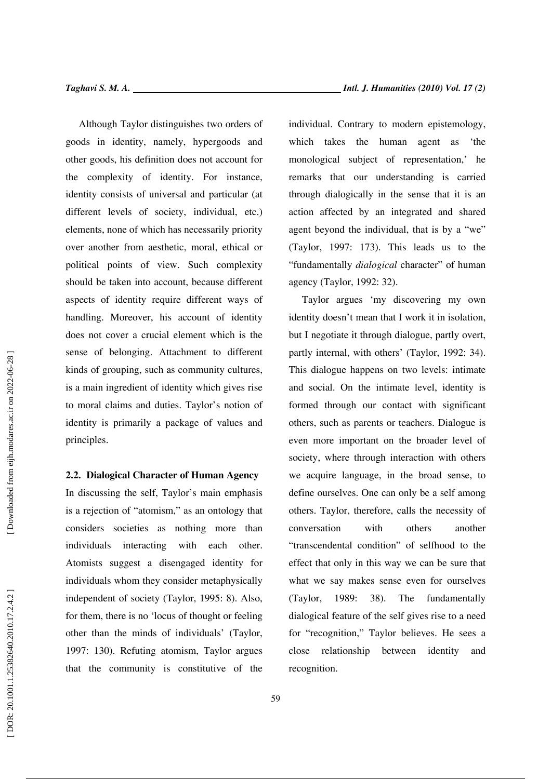Although Taylor distinguishes two orders of goods in identity, namely, hypergoods and other goods, his definition does not account for the complexity of identity. For instance, identity consists of universal and particular (at different levels of society, individual, etc.) elements, none of which has necessarily priority over another from aesthetic, moral, ethical or political points of view. Such complexity should be taken into account, because different aspects of identity require different ways of handling. Moreover, his account of identity does not cover a crucial element which is the sense of belonging. Attachment to different kinds of grouping, such as community cultures, is a main ingredient of identity which gives rise to moral claims and duties. Taylor's notion of identity is primarily a package of values and principles.

### **2.2. Dialogical Character of Human Agency**

In discussing the self, Taylor's main emphasis is a rejection of "atomism," as an ontology that considers societies as nothing more than individuals interacting with each other. Atomists suggest a disengaged identity for individuals whom they consider metaphysically independent of society (Taylor, 1995: 8). Also, for them, there is no 'locus of thought or feeling other than the minds of individuals' (Taylor, 1997: 130). Refuting atomism, Taylor argues that the community is constitutive of the individual. Contrary to modern epistemology, which takes the human agent as 'the monological subject of representation,' he remarks that our understanding is carried through dialogically in the sense that it is an action affected by an integrated and shared agent beyond the individual, that is by a "we" (Taylor, 1997: 173). This leads us to the "fundamentally *dialogical* character" of human agency (Taylor, 1992: 32).

Taylor argues 'my discovering my own identity doesn't mean that I work it in isolation, but I negotiate it through dialogue, partly overt, partly internal, with others' (Taylor, 1992: 34). This dialogue happens on two levels: intimate and social. On the intimate level, identity is formed through our contact with significant others, such as parents or teachers. Dialogue is even more important on the broader level of society, where through interaction with others we acquire language, in the broad sense, to define ourselves. One can only be a self among others. Taylor, therefore, calls the necessity of conversation with others another "transcendental condition" of selfhood to the effect that only in this way we can be sure that what we say makes sense even for ourselves (Taylor, 1989: 38). The fundamentally dialogical feature of the self gives rise to a need for "recognition," Taylor believes. He sees a close relationship between identity and recognition.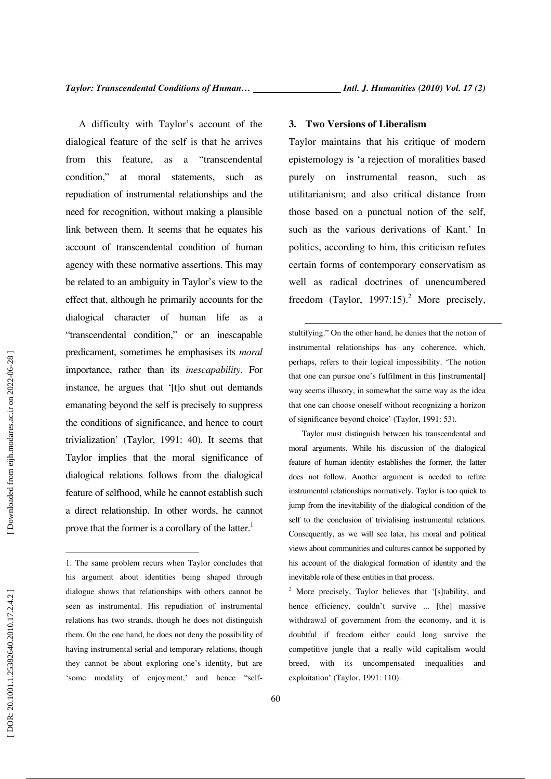A difficulty with Taylor's account of the dialogical feature of the self is that he arrives from this feature, as a "transcendental condition," at moral statements, such as repudiation of instrumental relationships and the need for recognition, without making a plausible link between them. It seems that he equates his account of transcendental condition of human agency with these normative assertions. This may be related to an ambiguity in Taylor's view to the effect that, although he primarily accounts for the dialogical character of human life as a "transcendental condition," or an inescapable predicament, sometimes he emphasises its *moral* importance, rather than its *inescapability*. For instance, he argues that '[t]o shut out demands emanating beyond the self is precisely to suppress the conditions of significance, and hence to court trivialization' (Taylor, 1991: 40). It seems that Taylor implies that the moral significance of dialogical relations follows from the dialogical feature of selfhood, while he cannot establish such a direct relationship. In other words, he cannot prove that the former is a corollary of the latter.<sup>1</sup>

Taylor must distinguish between his transcendental and

feature of human identity establishes the former, the latter does not follow. Another argument is needed to refute instrumental relationships normatively. Taylor is too quick to jump from the inevitability of the dialogical condition of the self to the conclusion of trivialising instrumental relations. Consequently, as we will see later, his moral and political views about communities and cultures cannot be supported by his account of the dialogical formation of identity and the inevitable role of these entities in that process. 2

### **3. Two Versions of Liberalism**

Taylor maintains that his critique of modern epistemology is 'a rejection of moralities based purely on instrumental reason, such as utilitarianism; and also critical distance from those based on a punctual notion of the self, such as the various derivations of Kant.' In politics, according to him, this criticism refutes certain forms of contemporary conservatism as well as radical doctrines of unencumbered freedom (Taylor, 1997:15).<sup>2</sup> More precisely,

 stultifying." On the other hand, he denies that the notion of instrumental relationships has any coherence, which, perhaps, refers to their logical impossibility. 'The notion that one can pursue one's fulfilment in this [instrumental] way seems illusory, in somewhat the same way as the idea that one can choose oneself without recognizing a horizon of significance beyond choice' (Taylor, 1991: 53).

<sup>1.</sup> The same problem recurs when Taylor concludes that his argument about identities being shaped through dialogue shows that relationships with others cannot be seen as instrumental. His repudiation of instrumental relations has two strands, though he does not distinguish them. On the one hand, he does not deny the possibility of having instrumental serial and temporary relations, though they cannot be about exploring one's identity, but are 'some modality of enjoyment,' and hence "self-

<sup>&</sup>lt;sup>2</sup> More precisely, Taylor believes that '[s]tability, and hence efficiency, couldn't survive ... [the] massive withdrawal of government from the economy, and it is doubtful if freedom either could long survive the competitive jungle that a really wild capitalism would breed, with its uncompensated inequalities and exploitation' (Taylor, 1991: 110).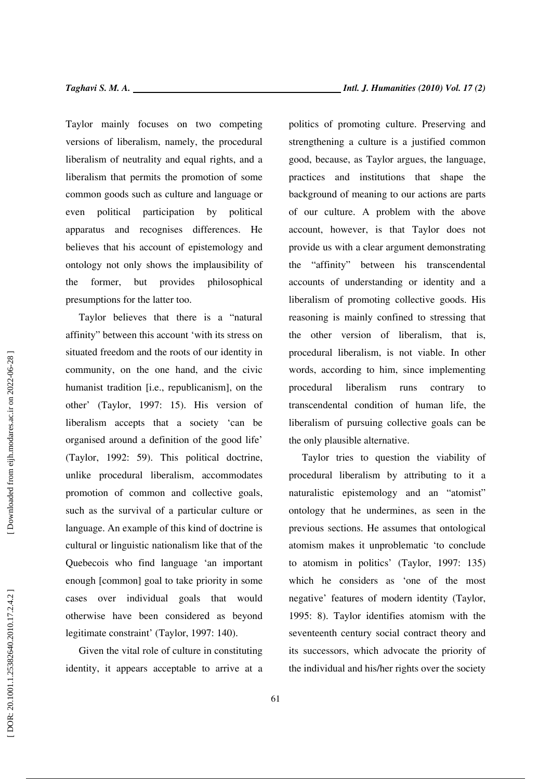Taylor mainly focuses on two competing versions of liberalism, namely, the procedural liberalism of neutrality and equal rights, and a liberalism that permits the promotion of some common goods such as culture and language or even political participation by political apparatus and recognises differences. He believes that his account of epistemology and ontology not only shows the implausibility of the former, but provides philosophical presumptions for the latter too.

Taylor believes that there is a "natural affinity" between this account 'with its stress on situated freedom and the roots of our identity in community, on the one hand, and the civic humanist tradition [i.e., republicanism], on the other' (Taylor, 1997: 15). His version of liberalism accepts that a society 'can be organised around a definition of the good life' (Taylor, 1992: 59). This political doctrine, unlike procedural liberalism, accommodates promotion of common and collective goals, such as the survival of a particular culture or language. An example of this kind of doctrine is cultural or linguistic nationalism like that of the Quebecois who find language 'an important enough [common] goal to take priority in some cases over individual goals that would otherwise have been considered as beyond legitimate constraint' (Taylor, 1997: 140).

Given the vital role of culture in constituting identity, it appears acceptable to arrive at a politics of promoting culture. Preserving and strengthening a culture is a justified common good, because, as Taylor argues, the language, practices and institutions that shape the background of meaning to our actions are parts of our culture. A problem with the above account, however, is that Taylor does not provide us with a clear argument demonstrating the "affinity" between his transcendental accounts of understanding or identity and a liberalism of promoting collective goods. His reasoning is mainly confined to stressing that the other version of liberalism, that is, procedural liberalism, is not viable. In other words, according to him, since implementing procedural liberalism runs contrary to transcendental condition of human life, the liberalism of pursuing collective goals can be the only plausible alternative.

Taylor tries to question the viability of procedural liberalism by attributing to it a naturalistic epistemology and an "atomist" ontology that he undermines, as seen in the previous sections. He assumes that ontological atomism makes it unproblematic 'to conclude to atomism in politics' (Taylor, 1997: 135) which he considers as 'one of the most negative' features of modern identity (Taylor, 1995: 8). Taylor identifies atomism with the seventeenth century social contract theory and its successors, which advocate the priority of the individual and his/her rights over the society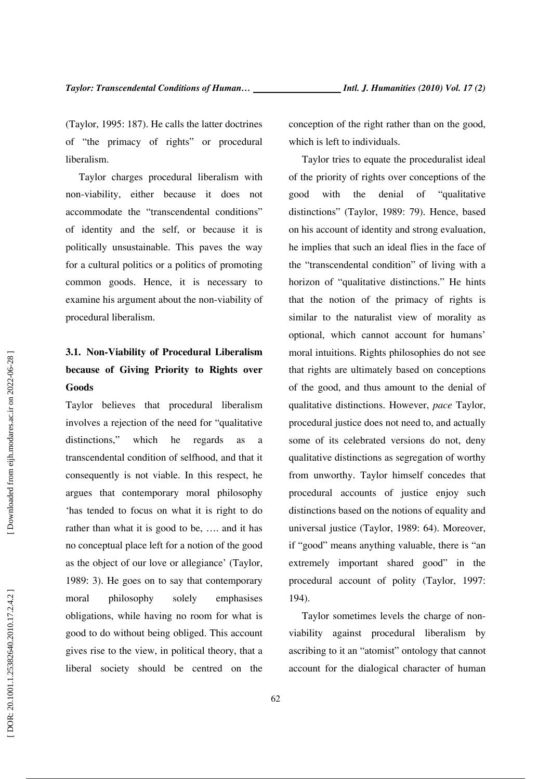(Taylor, 1995: 187). He calls the latter doctrines of "the primacy of rights" or procedural liberalism.

Taylor charges procedural liberalism with non-viability, either because it does not accommodate the "transcendental conditions" of identity and the self, or because it is politically unsustainable. This paves the way for a cultural politics or a politics of promoting common goods. Hence, it is necessary to examine his argument about the non-viability of procedural liberalism.

# **3.1. Non-Viability of Procedural Liberalism because of Giving Priority to Rights over Goods**

Taylor believes that procedural liberalism involves a rejection of the need for "qualitative distinctions," which he regards as a transcendental condition of selfhood, and that it consequently is not viable. In this respect, he argues that contemporary moral philosophy 'has tended to focus on what it is right to do rather than what it is good to be, …. and it has no conceptual place left for a notion of the good as the object of our love or allegiance' (Taylor, 1989: 3). He goes on to say that contemporary moral philosophy solely emphasises obligations, while having no room for what is good to do without being obliged. This account gives rise to the view, in political theory, that a liberal society should be centred on the conception of the right rather than on the good, which is left to individuals.

Taylor tries to equate the proceduralist ideal of the priority of rights over conceptions of the good with the denial of "qualitative distinctions" (Taylor, 1989: 79). Hence, based on his account of identity and strong evaluation, he implies that such an ideal flies in the face of the "transcendental condition" of living with a horizon of "qualitative distinctions." He hints that the notion of the primacy of rights is similar to the naturalist view of morality as optional, which cannot account for humans' moral intuitions. Rights philosophies do not see that rights are ultimately based on conceptions of the good, and thus amount to the denial of qualitative distinctions. However, *pace* Taylor, procedural justice does not need to, and actually some of its celebrated versions do not, deny qualitative distinctions as segregation of worthy from unworthy. Taylor himself concedes that procedural accounts of justice enjoy such distinctions based on the notions of equality and universal justice (Taylor, 1989: 64). Moreover, if "good" means anything valuable, there is "an extremely important shared good" in the procedural account of polity (Taylor, 1997: 194).

Taylor sometimes levels the charge of nonviability against procedural liberalism by ascribing to it an "atomist" ontology that cannot account for the dialogical character of human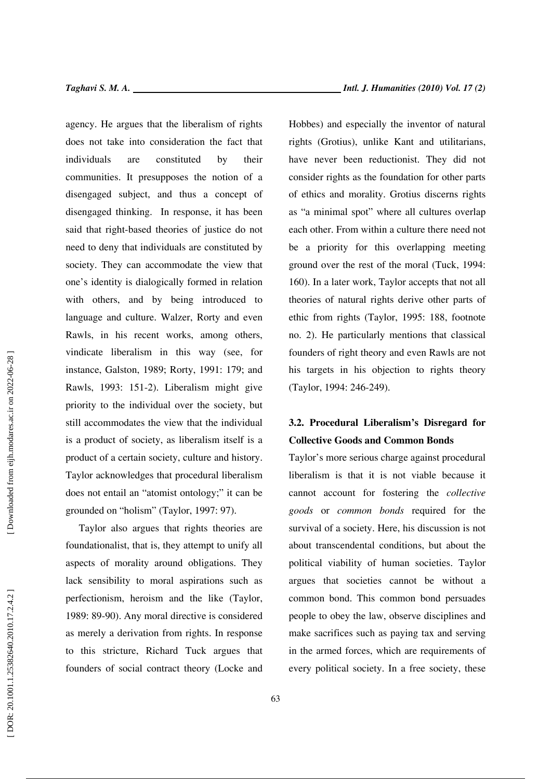agency. He argues that the liberalism of rights does not take into consideration the fact that individuals are constituted by their communities. It presupposes the notion of a disengaged subject, and thus a concept of disengaged thinking. In response, it has been said that right-based theories of justice do not need to deny that individuals are constituted by society. They can accommodate the view that one's identity is dialogically formed in relation with others, and by being introduced to language and culture. Walzer, Rorty and even Rawls, in his recent works, among others, vindicate liberalism in this way (see, for instance, Galston, 1989; Rorty, 1991: 179; and Rawls, 1993: 151-2). Liberalism might give priority to the individual over the society, but still accommodates the view that the individual is a product of society, as liberalism itself is a product of a certain society, culture and history. Taylor acknowledges that procedural liberalism does not entail an "atomist ontology;" it can be grounded on "holism" (Taylor, 1997: 97).

Taylor also argues that rights theories are foundationalist, that is, they attempt to unify all aspects of morality around obligations. They lack sensibility to moral aspirations such as perfectionism, heroism and the like (Taylor, 1989: 89-90). Any moral directive is considered as merely a derivation from rights. In response to this stricture, Richard Tuck argues that founders of social contract theory (Locke and Hobbes) and especially the inventor of natural rights (Grotius), unlike Kant and utilitarians, have never been reductionist. They did not consider rights as the foundation for other parts of ethics and morality. Grotius discerns rights as "a minimal spot" where all cultures overlap each other. From within a culture there need not be a priority for this overlapping meeting ground over the rest of the moral (Tuck, 1994: 160). In a later work, Taylor accepts that not all theories of natural rights derive other parts of ethic from rights (Taylor, 1995: 188, footnote no. 2). He particularly mentions that classical founders of right theory and even Rawls are not his targets in his objection to rights theory (Taylor, 1994: 246-249).

### **3.2. Procedural Liberalism's Disregard for Collective Goods and Common Bonds**

Taylor's more serious charge against procedural liberalism is that it is not viable because it cannot account for fostering the *collective goods* or *common bonds* required for the survival of a society. Here, his discussion is not about transcendental conditions, but about the political viability of human societies. Taylor argues that societies cannot be without a common bond. This common bond persuades people to obey the law, observe disciplines and make sacrifices such as paying tax and serving in the armed forces, which are requirements of every political society. In a free society, these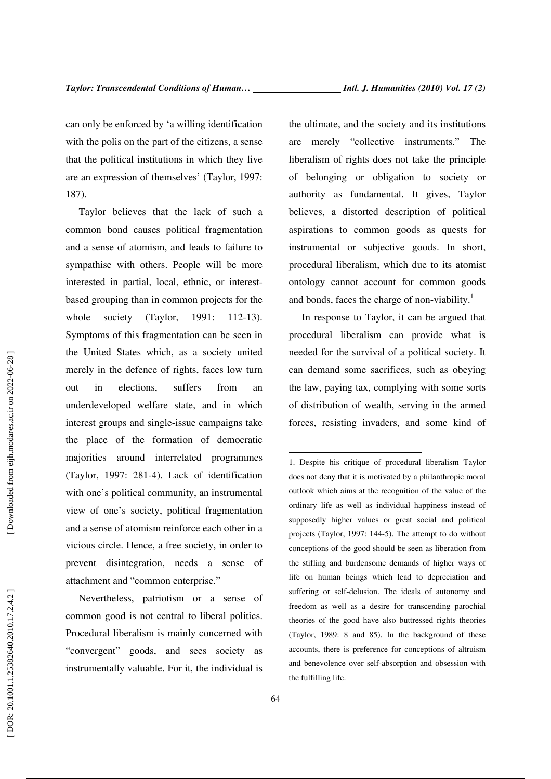can only be enforced by 'a willing identification with the polis on the part of the citizens, a sense that the political institutions in which they live are an expression of themselves' (Taylor, 1997: 187).

Taylor believes that the lack of such a common bond causes political fragmentation and a sense of atomism, and leads to failure to sympathise with others. People will be more interested in partial, local, ethnic, or interestbased grouping than in common projects for the whole society (Taylor, 1991: 112-13). Symptoms of this fragmentation can be seen in the United States which, as a society united merely in the defence of rights, faces low turn out in elections, suffers from an underdeveloped welfare state, and in which interest groups and single-issue campaigns take the place of the formation of democratic majorities around interrelated programmes (Taylor, 1997: 281-4). Lack of identification with one's political community, an instrumental view of one's society, political fragmentation and a sense of atomism reinforce each other in a vicious circle. Hence, a free society, in order to prevent disintegration, needs a sense of attachment and "common enterprise."

Nevertheless, patriotism or a sense of common good is not central to liberal politics. Procedural liberalism is mainly concerned with "convergent" goods, and sees society as instrumentally valuable. For it, the individual is the ultimate, and the society and its institutions are merely "collective instruments." The liberalism of rights does not take the principle of belonging or obligation to society or authority as fundamental. It gives, Taylor believes, a distorted description of political aspirations to common goods as quests for instrumental or subjective goods. In short, procedural liberalism, which due to its atomist ontology cannot account for common goods and bonds, faces the charge of non-viability.<sup>1</sup>

In response to Taylor, it can be argued that procedural liberalism can provide what is needed for the survival of a political society. It can demand some sacrifices, such as obeying the law, paying tax, complying with some sorts of distribution of wealth, serving in the armed forces, resisting invaders, and some kind of

1. Despite his critique of procedural liberalism Taylor does not deny that it is motivated by a philanthropic moral outlook which aims at the recognition of the value of the ordinary life as well as individual happiness instead of supposedly higher values or great social and political projects (Taylor, 1997: 144-5). The attempt to do without conceptions of the good should be seen as liberation from the stifling and burdensome demands of higher ways of life on human beings which lead to depreciation and suffering or self-delusion. The ideals of autonomy and freedom as well as a desire for transcending parochial theories of the good have also buttressed rights theories (Taylor, 1989: 8 and 85). In the background of these accounts, there is preference for conceptions of altruism and benevolence over self-absorption and obsession with the fulfilling life.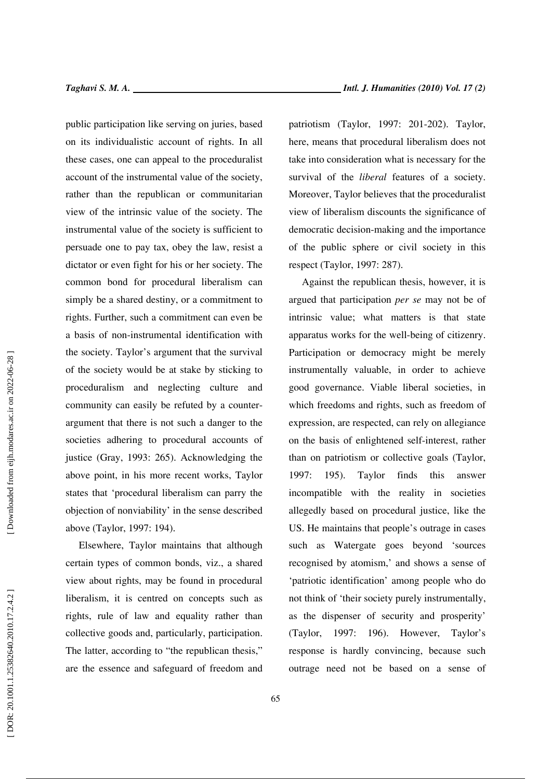public participation like serving on juries, based on its individualistic account of rights. In all these cases, one can appeal to the proceduralist account of the instrumental value of the society, rather than the republican or communitarian view of the intrinsic value of the society. The instrumental value of the society is sufficient to persuade one to pay tax, obey the law, resist a dictator or even fight for his or her society. The common bond for procedural liberalism can simply be a shared destiny, or a commitment to rights. Further, such a commitment can even be a basis of non-instrumental identification with the society. Taylor's argument that the survival of the society would be at stake by sticking to proceduralism and neglecting culture and community can easily be refuted by a counterargument that there is not such a danger to the societies adhering to procedural accounts of justice (Gray, 1993: 265). Acknowledging the above point, in his more recent works, Taylor states that 'procedural liberalism can parry the objection of nonviability' in the sense described above (Taylor, 1997: 194).

Elsewhere, Taylor maintains that although certain types of common bonds, viz., a shared view about rights, may be found in procedural liberalism, it is centred on concepts such as rights, rule of law and equality rather than collective goods and, particularly, participation. The latter, according to "the republican thesis," are the essence and safeguard of freedom and patriotism (Taylor, 1997: 201-202). Taylor, here, means that procedural liberalism does not take into consideration what is necessary for the survival of the *liberal* features of a society. Moreover, Taylor believes that the proceduralist view of liberalism discounts the significance of democratic decision-making and the importance of the public sphere or civil society in this respect (Taylor, 1997: 287).

Against the republican thesis, however, it is argued that participation *per se* may not be of intrinsic value; what matters is that state apparatus works for the well-being of citizenry. Participation or democracy might be merely instrumentally valuable, in order to achieve good governance. Viable liberal societies, in which freedoms and rights, such as freedom of expression, are respected, can rely on allegiance on the basis of enlightened self-interest, rather than on patriotism or collective goals (Taylor, 1997: 195). Taylor finds this answer incompatible with the reality in societies allegedly based on procedural justice, like the US. He maintains that people's outrage in cases such as Watergate goes beyond 'sources recognised by atomism,' and shows a sense of 'patriotic identification' among people who do not think of 'their society purely instrumentally, as the dispenser of security and prosperity' (Taylor, 1997: 196). However, Taylor's response is hardly convincing, because such outrage need not be based on a sense of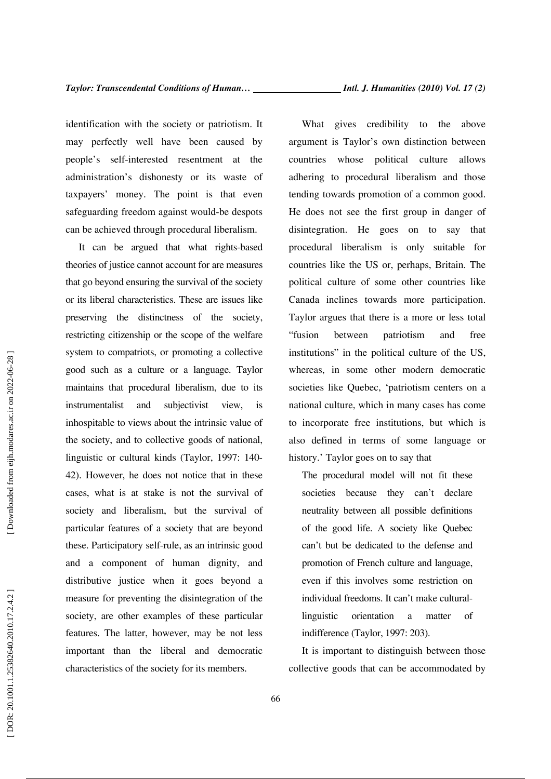identification with the society or patriotism. It may perfectly well have been caused by people's self-interested resentment at the administration's dishonesty or its waste of taxpayers' money. The point is that even safeguarding freedom against would-be despots can be achieved through procedural liberalism.

It can be argued that what rights-based theories of justice cannot account for are measures that go beyond ensuring the survival of the society or its liberal characteristics. These are issues like preserving the distinctness of the society, restricting citizenship or the scope of the welfare system to compatriots, or promoting a collective good such as a culture or a language. Taylor maintains that procedural liberalism, due to its instrumentalist and subjectivist view, inhospitable to views about the intrinsic value of the society, and to collective goods of national, linguistic or cultural kinds (Taylor, 1997: 140- 42). However, he does not notice that in these cases, what is at stake is not the survival of society and liberalism, but the survival of particular features of a society that are beyond these. Participatory self-rule, as an intrinsic good and a component of human dignity, and distributive justice when it goes beyond a measure for preventing the disintegration of the society, are other examples of these particular features. The latter, however, may be not less important than the liberal and democratic characteristics of the society for its members.

What gives credibility to the above argument is Taylor's own distinction between countries whose political culture allows adhering to procedural liberalism and those tending towards promotion of a common good. He does not see the first group in danger of disintegration. He goes on to say that procedural liberalism is only suitable for countries like the US or, perhaps, Britain. The political culture of some other countries like Canada inclines towards more participation. Taylor argues that there is a more or less total "fusion between patriotism and free institutions" in the political culture of the US, whereas, in some other modern democratic societies like Quebec, 'patriotism centers on a national culture, which in many cases has come to incorporate free institutions, but which is also defined in terms of some language or history.' Taylor goes on to say that

The procedural model will not fit these societies because they can't declare neutrality between all possible definitions of the good life. A society like Quebec can't but be dedicated to the defense and promotion of French culture and language, even if this involves some restriction on individual freedoms. It can't make culturallinguistic orientation a matter of indifference (Taylor, 1997: 203).

It is important to distinguish between those collective goods that can be accommodated by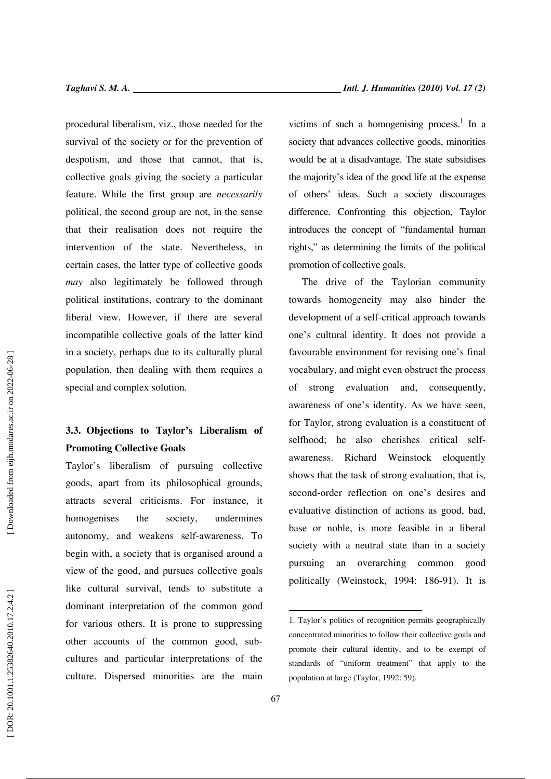procedural liberalism, viz., those needed for the survival of the society or for the prevention of despotism, and those that cannot, that is, collective goals giving the society a particular feature. While the first group are *necessarily* political, the second group are not, in the sense that their realisation does not require the intervention of the state. Nevertheless, in certain cases, the latter type of collective goods *may* also legitimately be followed through political institutions, contrary to the dominant liberal view. However, if there are several incompatible collective goals of the latter kind in a society, perhaps due to its culturally plural population, then dealing with them requires a special and complex solution.

## **3.3. Objections to Taylor's Liberalism of Promoting Collective Goals**

Taylor's liberalism of pursuing collective goods, apart from its philosophical grounds, attracts several criticisms. For instance, it homogenises the society, undermines autonomy, and weakens self-awareness. To begin with, a society that is organised around a view of the good, and pursues collective goals like cultural survival, tends to substitute a dominant interpretation of the common good for various others. It is prone to suppressing other accounts of the common good, subcultures and particular interpretations of the culture. Dispersed minorities are the main

victims of such a homogenising process.<sup>1</sup> In a society that advances collective goods, minorities would be at a disadvantage. The state subsidises the majority's idea of the good life at the expense of others' ideas. Such a society discourages difference. Confronting this objection, Taylor introduces the concept of "fundamental human rights," as determining the limits of the political promotion of collective goals.

The drive of the Taylorian community towards homogeneity may also hinder the development of a self-critical approach towards one's cultural identity. It does not provide a favourable environment for revising one's final vocabulary, and might even obstruct the process of strong evaluation and, consequently, awareness of one's identity. As we have seen, for Taylor, strong evaluation is a constituent of selfhood; he also cherishes critical selfawareness. Richard Weinstock eloquently shows that the task of strong evaluation, that is, second-order reflection on one's desires and evaluative distinction of actions as good, bad, base or noble, is more feasible in a liberal society with a neutral state than in a society pursuing an overarching common good politically (Weinstock, 1994: 186-91). It is

<sup>1.</sup> Taylor's politics of recognition permits geographically concentrated minorities to follow their collective goals and promote their cultural identity, and to be exempt of standards of "uniform treatment" that apply to the population at large (Taylor, 1992: 59).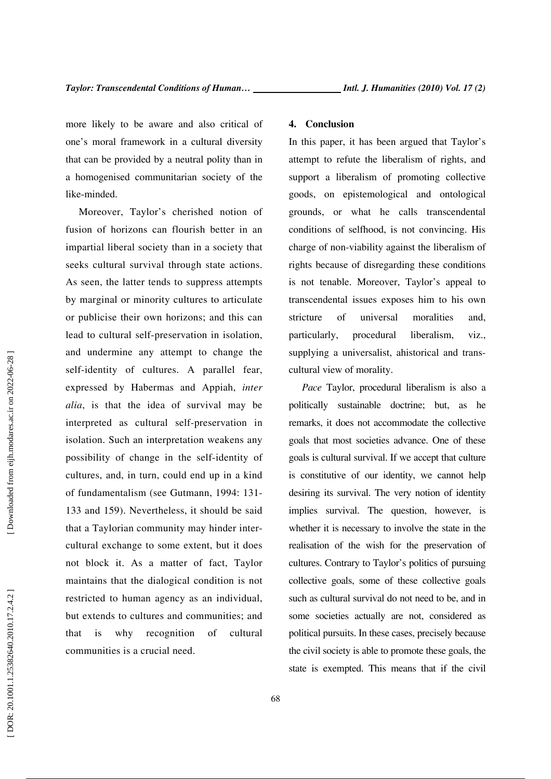more likely to be aware and also critical of one's moral framework in a cultural diversity that can be provided by a neutral polity than in a homogenised communitarian society of the like-minded.

Moreover, Taylor's cherished notion of fusion of horizons can flourish better in an impartial liberal society than in a society that seeks cultural survival through state actions. As seen, the latter tends to suppress attempts by marginal or minority cultures to articulate or publicise their own horizons; and this can lead to cultural self-preservation in isolation, and undermine any attempt to change the self-identity of cultures. A parallel fear, expressed by Habermas and Appiah, *inter alia*, is that the idea of survival may be interpreted as cultural self-preservation in isolation. Such an interpretation weakens any possibility of change in the self-identity of cultures, and, in turn, could end up in a kind of fundamentalism (see Gutmann, 1994: 131- 133 and 159). Nevertheless, it should be said that a Taylorian community may hinder intercultural exchange to some extent, but it does not block it. As a matter of fact, Taylor maintains that the dialogical condition is not restricted to human agency as an individual, but extends to cultures and communities; and that is why recognition of cultural communities is a crucial need.

#### **4. Conclusion**

In this paper, it has been argued that Taylor's attempt to refute the liberalism of rights, and support a liberalism of promoting collective goods, on epistemological and ontological grounds, or what he calls transcendental conditions of selfhood, is not convincing. His charge of non-viability against the liberalism of rights because of disregarding these conditions is not tenable. Moreover, Taylor's appeal to transcendental issues exposes him to his own stricture of universal moralities and, particularly, procedural liberalism, viz., supplying a universalist, ahistorical and transcultural view of morality.

*Pace* Taylor, procedural liberalism is also a politically sustainable doctrine; but, as he remarks, it does not accommodate the collective goals that most societies advance. One of these goals is cultural survival. If we accept that culture is constitutive of our identity, we cannot help desiring its survival. The very notion of identity implies survival. The question, however, is whether it is necessary to involve the state in the realisation of the wish for the preservation of cultures. Contrary to Taylor's politics of pursuing collective goals, some of these collective goals such as cultural survival do not need to be, and in some societies actually are not, considered as political pursuits. In these cases, precisely because the civil society is able to promote these goals, the state is exempted. This means that if the civil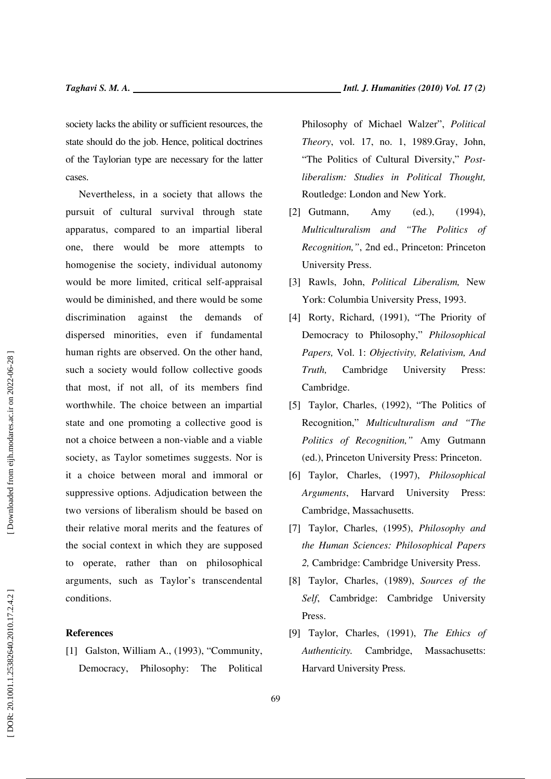society lacks the ability or sufficient resources, the state should do the job. Hence, political doctrines of the Taylorian type are necessary for the latter cases.

Nevertheless, in a society that allows the pursuit of cultural survival through state apparatus, compared to an impartial liberal one, there would be more attempts to homogenise the society, individual autonomy would be more limited, critical self-appraisal would be diminished, and there would be some discrimination against the demands of dispersed minorities, even if fundamental human rights are observed. On the other hand, such a society would follow collective goods that most, if not all, of its members find worthwhile. The choice between an impartial state and one promoting a collective good is not a choice between a non-viable and a viable society, as Taylor sometimes suggests. Nor is it a choice between moral and immoral or suppressive options. Adjudication between the two versions of liberalism should be based on their relative moral merits and the features of the social context in which they are supposed to operate, rather than on philosophical arguments, such as Taylor's transcendental conditions.

### **References**

[1] Galston, William A., (1993), "Community, Democracy, Philosophy: The Political Philosophy of Michael Walzer", *Political Theory*, vol. 17, no. 1, 1989.Gray, John, "The Politics of Cultural Diversity," *Postliberalism: Studies in Political Thought,* Routledge: London and New York.

- [2] Gutmann, Amy (ed.), (1994), *Multiculturalism and "The Politics of Recognition,"*, 2nd ed., Princeton: Princeton University Press.
- [3] Rawls, John, *Political Liberalism,* New York: Columbia University Press, 1993.
- [4] Rorty, Richard, (1991), "The Priority of Democracy to Philosophy," *Philosophical Papers,* Vol. 1: *Objectivity, Relativism, And Truth,* Cambridge University Press: Cambridge.
- [5] Taylor, Charles, (1992), "The Politics of Recognition," *Multiculturalism and "The Politics of Recognition,"* Amy Gutmann (ed.), Princeton University Press: Princeton.
- [6] Taylor, Charles, (1997), *Philosophical Arguments*, Harvard University Press: Cambridge, Massachusetts.
- [7] Taylor, Charles, (1995), *Philosophy and the Human Sciences: Philosophical Papers 2,* Cambridge: Cambridge University Press.
- [8] Taylor, Charles, (1989), *Sources of the Self*, Cambridge: Cambridge University Press.
- [9] Taylor, Charles, (1991), *The Ethics of Authenticity.* Cambridge, Massachusetts: Harvard University Press.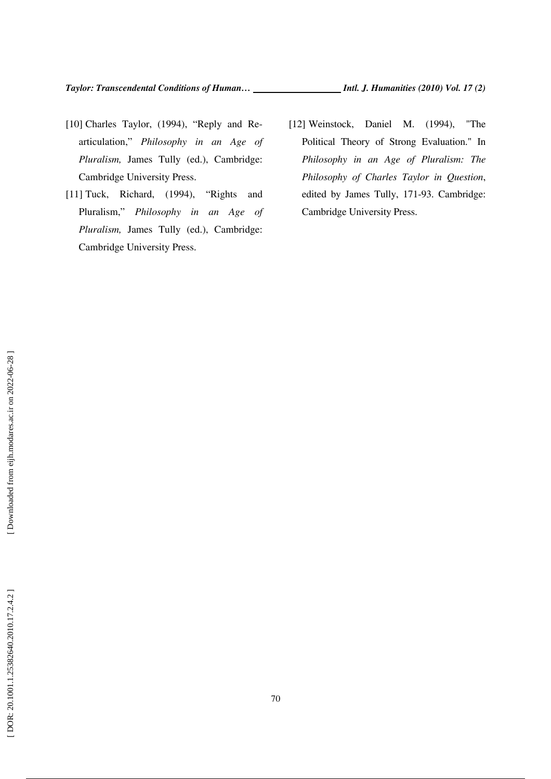- [10] Charles Taylor, (1994), "Reply and Rearticulation," *Philosophy in an Age of Pluralism,* James Tully (ed.), Cambridge: Cambridge University Press.
- [11] Tuck, Richard, (1994), "Rights and Pluralism," *Philosophy in an Age of Pluralism,* James Tully (ed.), Cambridge: Cambridge University Press.
- [12] Weinstock, Daniel M. (1994), "The Political Theory of Strong Evaluation." In *Philosophy in an Age of Pluralism: The Philosophy of Charles Taylor in Question*, edited by James Tully, 171-93. Cambridge: Cambridge University Press.